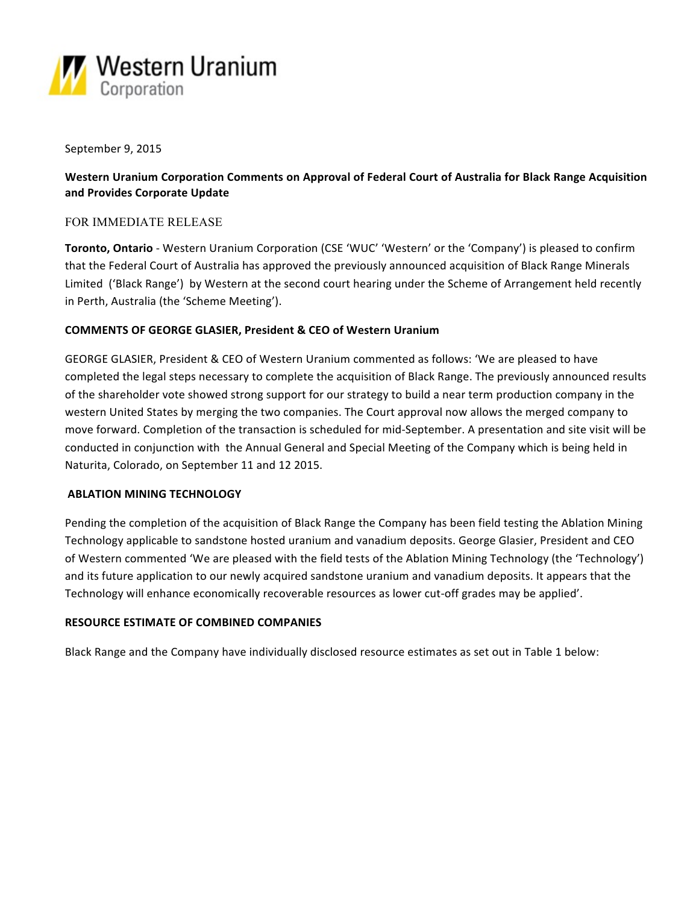

## September 9, 2015

# **Western Uranium Corporation Comments on Approval of Federal Court of Australia for Black Range Acquisition and Provides Corporate Update**

## FOR IMMEDIATE RELEASE

**Toronto, Ontario** - Western Uranium Corporation (CSE 'WUC' 'Western' or the 'Company') is pleased to confirm that the Federal Court of Australia has approved the previously announced acquisition of Black Range Minerals Limited ('Black Range') by Western at the second court hearing under the Scheme of Arrangement held recently in Perth, Australia (the 'Scheme Meeting').

# **COMMENTS OF GEORGE GLASIER, President & CEO of Western Uranium**

GEORGE GLASIER, President & CEO of Western Uranium commented as follows: 'We are pleased to have completed the legal steps necessary to complete the acquisition of Black Range. The previously announced results of the shareholder vote showed strong support for our strategy to build a near term production company in the western United States by merging the two companies. The Court approval now allows the merged company to move forward. Completion of the transaction is scheduled for mid-September. A presentation and site visit will be conducted in conjunction with the Annual General and Special Meeting of the Company which is being held in Naturita, Colorado, on September 11 and 12 2015.

#### **ABLATION MINING TECHNOLOGY**

Pending the completion of the acquisition of Black Range the Company has been field testing the Ablation Mining Technology applicable to sandstone hosted uranium and vanadium deposits. George Glasier, President and CEO of Western commented 'We are pleased with the field tests of the Ablation Mining Technology (the 'Technology') and its future application to our newly acquired sandstone uranium and vanadium deposits. It appears that the Technology will enhance economically recoverable resources as lower cut-off grades may be applied'.

#### **RESOURCE ESTIMATE OF COMBINED COMPANIES**

Black Range and the Company have individually disclosed resource estimates as set out in Table 1 below: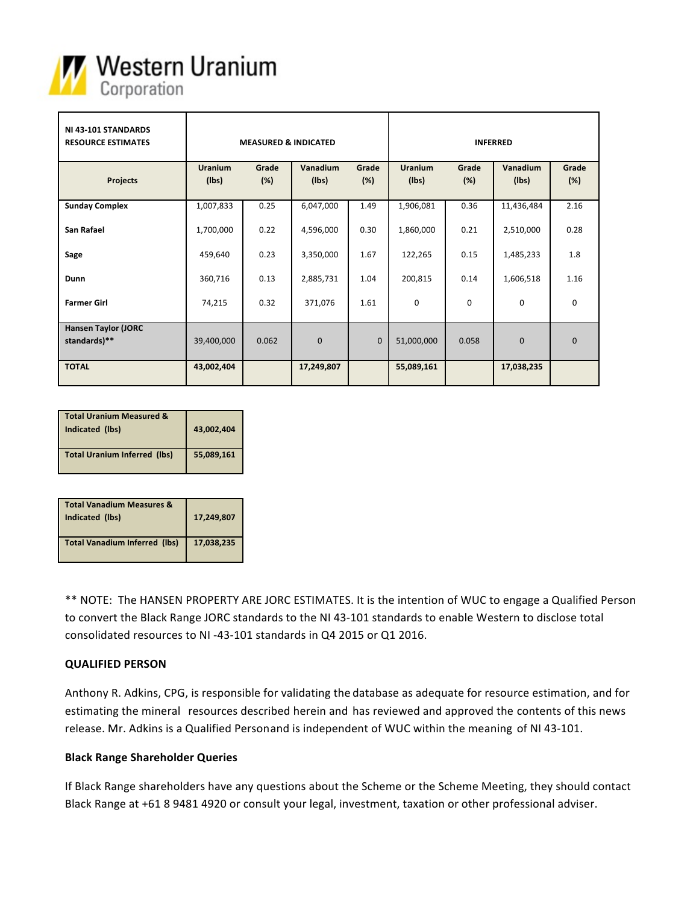

| NI 43-101 STANDARDS<br><b>RESOURCE ESTIMATES</b> | <b>MEASURED &amp; INDICATED</b> |              |                   |              | <b>INFERRED</b>         |              |                   |              |
|--------------------------------------------------|---------------------------------|--------------|-------------------|--------------|-------------------------|--------------|-------------------|--------------|
| <b>Projects</b>                                  | <b>Uranium</b><br>(Ibs)         | Grade<br>(%) | Vanadium<br>(lbs) | Grade<br>(%) | <b>Uranium</b><br>(Ibs) | Grade<br>(%) | Vanadium<br>(Ibs) | Grade<br>(%) |
| <b>Sunday Complex</b>                            | 1,007,833                       | 0.25         | 6,047,000         | 1.49         | 1,906,081               | 0.36         | 11,436,484        | 2.16         |
| San Rafael                                       | 1,700,000                       | 0.22         | 4,596,000         | 0.30         | 1,860,000               | 0.21         | 2,510,000         | 0.28         |
| Sage                                             | 459,640                         | 0.23         | 3,350,000         | 1.67         | 122,265                 | 0.15         | 1,485,233         | 1.8          |
| Dunn                                             | 360,716                         | 0.13         | 2,885,731         | 1.04         | 200,815                 | 0.14         | 1,606,518         | 1.16         |
| <b>Farmer Girl</b>                               | 74,215                          | 0.32         | 371,076           | 1.61         | $\mathbf 0$             | $\mathbf 0$  | $\mathbf 0$       | $\mathbf 0$  |
| <b>Hansen Taylor (JORC</b><br>standards)**       | 39,400,000                      | 0.062        | $\mathbf 0$       | $\mathbf{0}$ | 51,000,000              | 0.058        | $\mathbf{0}$      | $\mathbf{0}$ |
| <b>TOTAL</b>                                     | 43,002,404                      |              | 17,249,807        |              | 55,089,161              |              | 17,038,235        |              |

| <b>Total Uranium Measured &amp;</b><br>Indicated (lbs) | 43,002,404 |
|--------------------------------------------------------|------------|
| <b>Total Uranium Inferred (lbs)</b>                    | 55,089,161 |

| <b>Total Vanadium Measures &amp;</b><br>Indicated (lbs) | 17,249,807 |
|---------------------------------------------------------|------------|
| <b>Total Vanadium Inferred (lbs)</b>                    | 17,038,235 |

\*\* NOTE: The HANSEN PROPERTY ARE JORC ESTIMATES. It is the intention of WUC to engage a Qualified Person to convert the Black Range JORC standards to the NI 43-101 standards to enable Western to disclose total consolidated resources to NI -43-101 standards in Q4 2015 or Q1 2016.

# **QUALIFIED PERSON**

Anthony R. Adkins, CPG, is responsible for validating the database as adequate for resource estimation, and for estimating the mineral resources described herein and has reviewed and approved the contents of this news release. Mr. Adkins is a Qualified Personand is independent of WUC within the meaning of NI 43-101.

#### **Black Range Shareholder Queries**

If Black Range shareholders have any questions about the Scheme or the Scheme Meeting, they should contact Black Range at +61 8 9481 4920 or consult your legal, investment, taxation or other professional adviser.